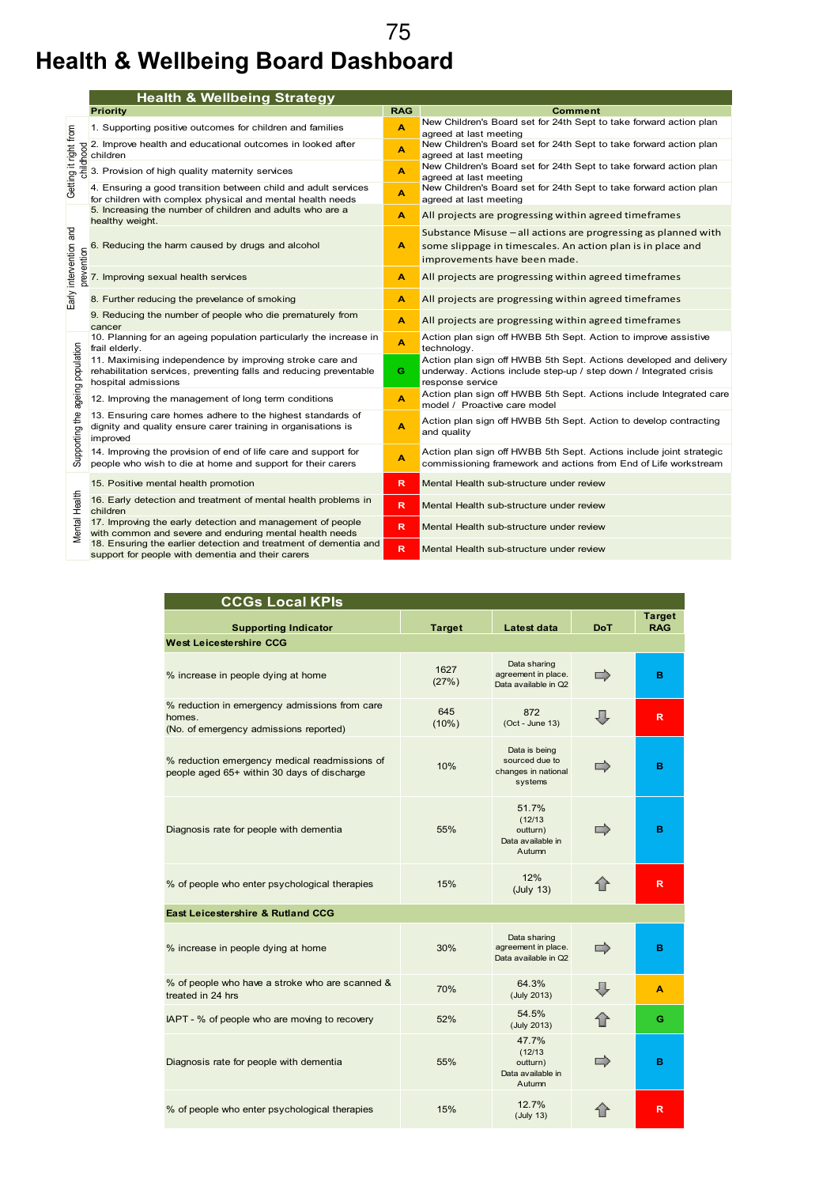## **Health & Wellbeing Board Dashboard**  75

|                                      | <b>Health &amp; Wellbeing Strategy</b>                                                                                                                |            |                                                                                                                                                               |  |  |  |
|--------------------------------------|-------------------------------------------------------------------------------------------------------------------------------------------------------|------------|---------------------------------------------------------------------------------------------------------------------------------------------------------------|--|--|--|
|                                      | <b>Priority</b>                                                                                                                                       | <b>RAG</b> | Comment                                                                                                                                                       |  |  |  |
|                                      | 1. Supporting positive outcomes for children and families                                                                                             | A          | New Children's Board set for 24th Sept to take forward action plan<br>agreed at last meeting                                                                  |  |  |  |
| Getting it right from<br>childhood   | 2. Improve health and educational outcomes in looked after<br>children                                                                                | A          | New Children's Board set for 24th Sept to take forward action plan<br>agreed at last meeting                                                                  |  |  |  |
|                                      | 3. Provision of high quality maternity services                                                                                                       | A          | New Children's Board set for 24th Sept to take forward action plan<br>agreed at last meeting                                                                  |  |  |  |
|                                      | 4. Ensuring a good transition between child and adult services<br>for children with complex physical and mental health needs                          | A          | New Children's Board set for 24th Sept to take forward action plan<br>agreed at last meeting                                                                  |  |  |  |
| Early intervention and<br>prevention | 5. Increasing the number of children and adults who are a<br>healthy weight.                                                                          | A          | All projects are progressing within agreed timeframes                                                                                                         |  |  |  |
|                                      | 6. Reducing the harm caused by drugs and alcohol                                                                                                      | A          | Substance Misuse - all actions are progressing as planned with<br>some slippage in timescales. An action plan is in place and<br>improvements have been made. |  |  |  |
|                                      | 7. Improving sexual health services                                                                                                                   | A          | All projects are progressing within agreed timeframes                                                                                                         |  |  |  |
|                                      | 8. Further reducing the prevelance of smoking                                                                                                         | A          | All projects are progressing within agreed timeframes                                                                                                         |  |  |  |
|                                      | 9. Reducing the number of people who die prematurely from<br>cancer                                                                                   | A          | All projects are progressing within agreed timeframes                                                                                                         |  |  |  |
|                                      | 10. Planning for an ageing population particularly the increase in<br>frail elderly.                                                                  | A          | Action plan sign off HWBB 5th Sept. Action to improve assistive<br>technology.                                                                                |  |  |  |
| Supporting the ageing population     | 11. Maximising independence by improving stroke care and<br>rehabilitation services, preventing falls and reducing preventable<br>hospital admissions | G.         | Action plan sign off HWBB 5th Sept. Actions developed and delivery<br>underway. Actions include step-up / step down / Integrated crisis<br>response service   |  |  |  |
|                                      | 12. Improving the management of long term conditions                                                                                                  | A          | Action plan sign off HWBB 5th Sept. Actions include Integrated care<br>model / Proactive care model                                                           |  |  |  |
|                                      | 13. Ensuring care homes adhere to the highest standards of<br>dignity and quality ensure carer training in organisations is<br>improved               | A          | Action plan sign off HWBB 5th Sept. Action to develop contracting<br>and quality                                                                              |  |  |  |
|                                      | 14. Improving the provision of end of life care and support for<br>people who wish to die at home and support for their carers                        | A          | Action plan sign off HWBB 5th Sept. Actions include joint strategic<br>commissioning framework and actions from End of Life workstream                        |  |  |  |
| Mental Health                        | 15. Positive mental health promotion                                                                                                                  | R.         | Mental Health sub-structure under review                                                                                                                      |  |  |  |
|                                      | 16. Early detection and treatment of mental health problems in<br>children                                                                            | R.         | Mental Health sub-structure under review                                                                                                                      |  |  |  |
|                                      | 17. Improving the early detection and management of people<br>with common and severe and enduring mental health needs                                 | R.         | Mental Health sub-structure under review                                                                                                                      |  |  |  |
|                                      | 18. Ensuring the earlier detection and treatment of dementia and<br>support for people with dementia and their carers                                 | R          | Mental Health sub-structure under review                                                                                                                      |  |  |  |

| <b>CCGs Local KPIs</b>                                                                            |               |                                                                   |            |                             |
|---------------------------------------------------------------------------------------------------|---------------|-------------------------------------------------------------------|------------|-----------------------------|
| <b>Supporting Indicator</b>                                                                       | <b>Target</b> | Latest data                                                       | <b>DoT</b> | <b>Target</b><br><b>RAG</b> |
| <b>West Leicestershire CCG</b>                                                                    |               |                                                                   |            |                             |
| % increase in people dying at home                                                                | 1627<br>(27%) | Data sharing<br>agreement in place.<br>Data available in Q2       | ⋻          | в                           |
| % reduction in emergency admissions from care<br>homes.<br>(No. of emergency admissions reported) | 645<br>(10%)  | 872<br>$(Oct - June 13)$                                          | л          | R                           |
| % reduction emergency medical readmissions of<br>people aged 65+ within 30 days of discharge      | 10%           | Data is being<br>sourced due to<br>changes in national<br>systems |            | в                           |
| Diagnosis rate for people with dementia                                                           | 55%           | 51.7%<br>(12/13)<br>outturn)<br>Data available in<br>Autumn       |            | в                           |
| % of people who enter psychological therapies                                                     | 15%           | 12%<br>(July 13)                                                  | ⇑          | $\overline{\mathsf{R}}$     |
| <b>East Leicestershire &amp; Rutland CCG</b>                                                      |               |                                                                   |            |                             |
| % increase in people dying at home                                                                | 30%           | Data sharing<br>agreement in place.<br>Data available in Q2       |            | в                           |
| % of people who have a stroke who are scanned &<br>treated in 24 hrs                              | 70%           | 64.3%<br>(July 2013)                                              | JI.        | A                           |
| IAPT - % of people who are moving to recovery                                                     | 52%           | 54.5%<br>(July 2013)                                              | 合          | Ġ                           |
| Diagnosis rate for people with dementia                                                           | 55%           | 47.7%<br>(12/13)<br>outturn)<br>Data available in<br>Autumn       | ⇨          | в                           |
| % of people who enter psychological therapies                                                     | 15%           | 12.7%<br>(July 13)                                                |            | R                           |